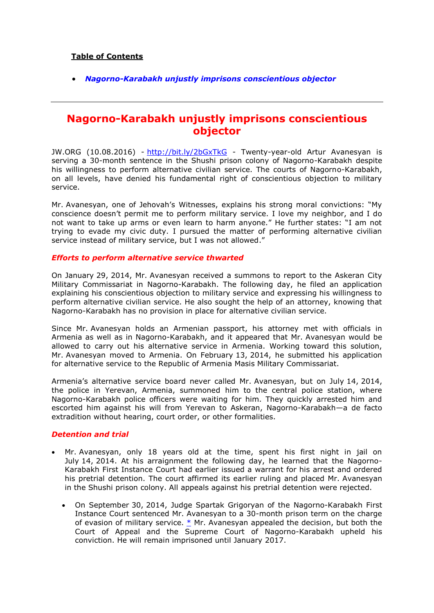## **Table of Contents**

*[Nagorno-Karabakh unjustly imprisons conscientious objector](#page-0-0)*

# <span id="page-0-0"></span>**Nagorno-Karabakh unjustly imprisons conscientious objector**

JW.ORG (10.08.2016) - <http://bit.ly/2bGxTkG> - Twenty-year-old Artur Avanesyan is serving a 30-month sentence in the Shushi prison colony of Nagorno-Karabakh despite his willingness to perform alternative civilian service. The courts of Nagorno-Karabakh, on all levels, have denied his fundamental right of conscientious objection to military service.

Mr. Avanesyan, one of Jehovah's Witnesses, explains his strong moral convictions: "My conscience doesn't permit me to perform military service. I love my neighbor, and I do not want to take up arms or even learn to harm anyone." He further states: "I am not trying to evade my civic duty. I pursued the matter of performing alternative civilian service instead of military service, but I was not allowed."

#### *Efforts to perform alternative service thwarted*

On January 29, 2014, Mr. Avanesyan received a summons to report to the Askeran City Military Commissariat in Nagorno-Karabakh. The following day, he filed an application explaining his conscientious objection to military service and expressing his willingness to perform alternative civilian service. He also sought the help of an attorney, knowing that Nagorno-Karabakh has no provision in place for alternative civilian service.

Since Mr. Avanesyan holds an Armenian passport, his attorney met with officials in Armenia as well as in Nagorno-Karabakh, and it appeared that Mr. Avanesyan would be allowed to carry out his alternative service in Armenia. Working toward this solution, Mr. Avanesyan moved to Armenia. On February 13, 2014, he submitted his application for alternative service to the Republic of Armenia Masis Military Commissariat.

Armenia's alternative service board never called Mr. Avanesyan, but on July 14, 2014, the police in Yerevan, Armenia, summoned him to the central police station, where Nagorno-Karabakh police officers were waiting for him. They quickly arrested him and escorted him against his will from Yerevan to Askeran, Nagorno-Karabakh—a de facto extradition without hearing, court order, or other formalities.

### *Detention and trial*

- Mr. Avanesyan, only 18 years old at the time, spent his first night in jail on July 14, 2014. At his arraignment the following day, he learned that the Nagorno-Karabakh First Instance Court had earlier issued a warrant for his arrest and ordered his pretrial detention. The court affirmed its earlier ruling and placed Mr. Avanesyan in the Shushi prison colony. All appeals against his pretrial detention were rejected.
	- On September 30, 2014, Judge Spartak Grigoryan of the Nagorno-Karabakh First Instance Court sentenced Mr. Avanesyan to a 30-month prison term on the charge of evasion of military service. [\\*](https://www.jw.org/en/news/legal/by-region/nagorno-karabakh/unjustly-imprisons-conscientious-objector/#footnote1) Mr. Avanesyan appealed the decision, but both the Court of Appeal and the Supreme Court of Nagorno-Karabakh upheld his conviction. He will remain imprisoned until January 2017.